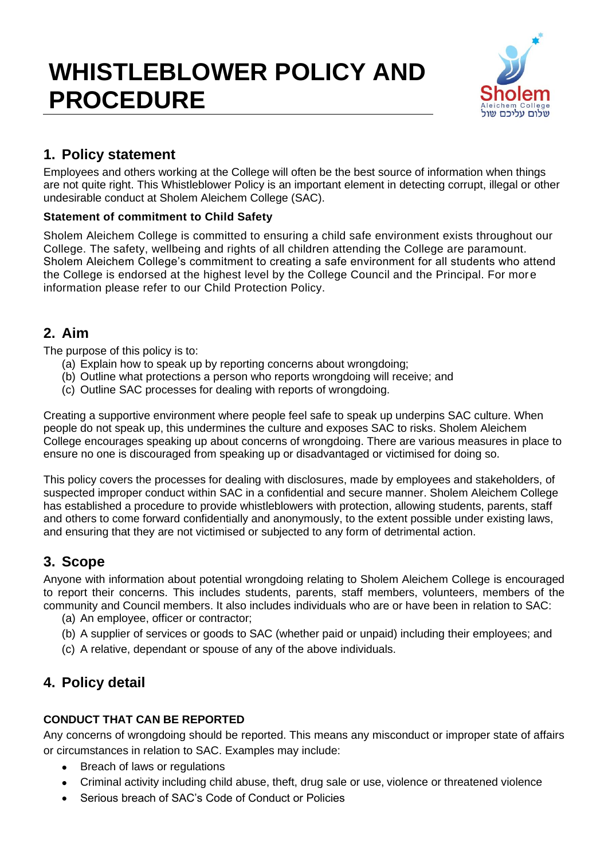# **WHISTLEBLOWER POLICY AND PROCEDURE**



# **1. Policy statement**

Employees and others working at the College will often be the best source of information when things are not quite right. This Whistleblower Policy is an important element in detecting corrupt, illegal or other undesirable conduct at Sholem Aleichem College (SAC).

### **Statement of commitment to Child Safety**

Sholem Aleichem College is committed to ensuring a child safe environment exists throughout our College. The safety, wellbeing and rights of all children attending the College are paramount. Sholem Aleichem College's commitment to creating a safe environment for all students who attend the College is endorsed at the highest level by the College Council and the Principal. For more information please refer to our Child Protection Policy.

## **2. Aim**

The purpose of this policy is to:

- (a) Explain how to speak up by reporting concerns about wrongdoing;
- (b) Outline what protections a person who reports wrongdoing will receive; and
- (c) Outline SAC processes for dealing with reports of wrongdoing.

Creating a supportive environment where people feel safe to speak up underpins SAC culture. When people do not speak up, this undermines the culture and exposes SAC to risks. Sholem Aleichem College encourages speaking up about concerns of wrongdoing. There are various measures in place to ensure no one is discouraged from speaking up or disadvantaged or victimised for doing so.

This policy covers the processes for dealing with disclosures, made by employees and stakeholders, of suspected improper conduct within SAC in a confidential and secure manner. Sholem Aleichem College has established a procedure to provide whistleblowers with protection, allowing students, parents, staff and others to come forward confidentially and anonymously, to the extent possible under existing laws, and ensuring that they are not victimised or subjected to any form of detrimental action.

# **3. Scope**

Anyone with information about potential wrongdoing relating to Sholem Aleichem College is encouraged to report their concerns. This includes students, parents, staff members, volunteers, members of the community and Council members. It also includes individuals who are or have been in relation to SAC:

- (a) An employee, officer or contractor;
- (b) A supplier of services or goods to SAC (whether paid or unpaid) including their employees; and
- (c) A relative, dependant or spouse of any of the above individuals.

# **4. Policy detail**

#### **CONDUCT THAT CAN BE REPORTED**

Any concerns of wrongdoing should be reported. This means any misconduct or improper state of affairs or circumstances in relation to SAC. Examples may include:

- Breach of laws or regulations
- Criminal activity including child abuse, theft, drug sale or use, violence or threatened violence
- Serious breach of SAC's Code of Conduct or Policies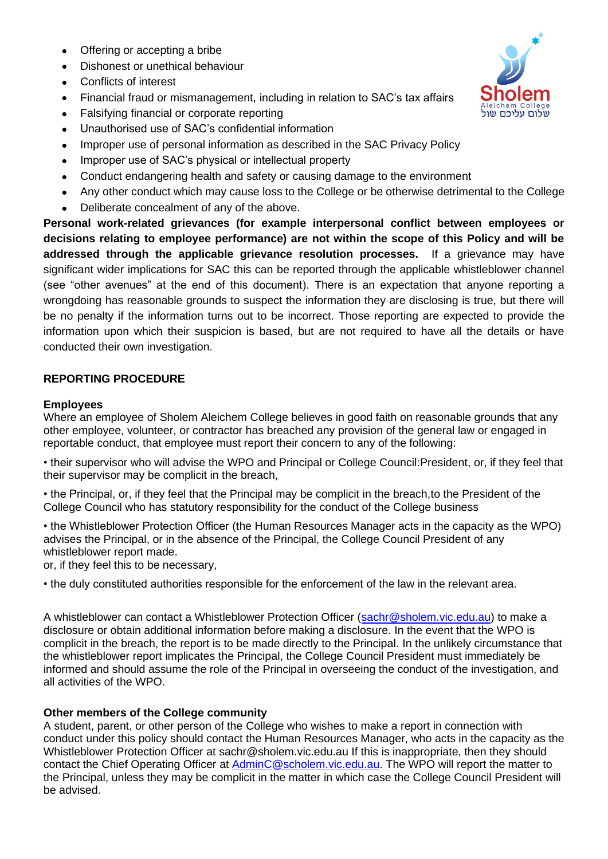- Offering or accepting a bribe
- Dishonest or unethical behaviour
- Conflicts of interest
- Financial fraud or mismanagement, including in relation to SAC's tax affairs
- Falsifying financial or corporate reporting
- Unauthorised use of SAC's confidential information
- Improper use of personal information as described in the SAC Privacy Policy
- Improper use of SAC's physical or intellectual property
- Conduct endangering health and safety or causing damage to the environment
- Any other conduct which may cause loss to the College or be otherwise detrimental to the College
- Deliberate concealment of any of the above.

**Personal work-related grievances (for example interpersonal conflict between employees or decisions relating to employee performance) are not within the scope of this Policy and will be addressed through the applicable grievance resolution processes.** If a grievance may have significant wider implications for SAC this can be reported through the applicable whistleblower channel (see "other avenues" at the end of this document). There is an expectation that anyone reporting a wrongdoing has reasonable grounds to suspect the information they are disclosing is true, but there will be no penalty if the information turns out to be incorrect. Those reporting are expected to provide the information upon which their suspicion is based, but are not required to have all the details or have conducted their own investigation.

#### **REPORTING PROCEDURE**

#### **Employees**

Where an employee of Sholem Aleichem College believes in good faith on reasonable grounds that any other employee, volunteer, or contractor has breached any provision of the general law or engaged in reportable conduct, that employee must report their concern to any of the following:

• their supervisor who will advise the WPO and Principal or College Council:President, or, if they feel that their supervisor may be complicit in the breach,

• the Principal, or, if they feel that the Principal may be complicit in the breach,to the President of the College Council who has statutory responsibility for the conduct of the College business

• the Whistleblower Protection Officer (the Human Resources Manager acts in the capacity as the WPO) advises the Principal, or in the absence of the Principal, the College Council President of any whistleblower report made.

or, if they feel this to be necessary,

• the duly constituted authorities responsible for the enforcement of the law in the relevant area.

A whistleblower can contact a Whistleblower Protection Officer [\(sachr@sholem.vic.edu.au\)](mailto:sachr@sholem.vic.edu.au) to make a disclosure or obtain additional information before making a disclosure. In the event that the WPO is complicit in the breach, the report is to be made directly to the Principal. In the unlikely circumstance that the whistleblower report implicates the Principal, the College Council President must immediately be informed and should assume the role of the Principal in overseeing the conduct of the investigation, and all activities of the WPO.

#### **Other members of the College community**

A student, parent, or other person of the College who wishes to make a report in connection with conduct under this policy should contact the Human Resources Manager, who acts in the capacity as the Whistleblower Protection Officer at sachr@sholem.vic.edu.au If this is inappropriate, then they should contact the Chief Operating Officer at [AdminC@scholem.vic.edu.au.](mailto:AdminC@scholem.vic.edu.au) The WPO will report the matter to the Principal, unless they may be complicit in the matter in which case the College Council President will be advised.

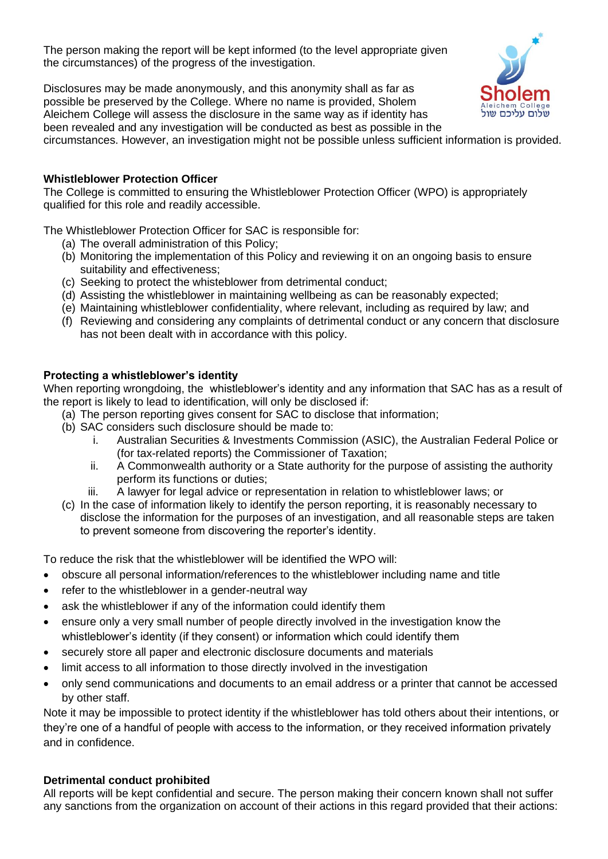The person making the report will be kept informed (to the level appropriate given the circumstances) of the progress of the investigation.

Disclosures may be made anonymously, and this anonymity shall as far as possible be preserved by the College. Where no name is provided, Sholem Aleichem College will assess the disclosure in the same way as if identity has been revealed and any investigation will be conducted as best as possible in the



circumstances. However, an investigation might not be possible unless sufficient information is provided.

#### **Whistleblower Protection Officer**

The College is committed to ensuring the Whistleblower Protection Officer (WPO) is appropriately qualified for this role and readily accessible.

The Whistleblower Protection Officer for SAC is responsible for:

- (a) The overall administration of this Policy;
- (b) Monitoring the implementation of this Policy and reviewing it on an ongoing basis to ensure suitability and effectiveness;
- (c) Seeking to protect the whisteblower from detrimental conduct;
- (d) Assisting the whistleblower in maintaining wellbeing as can be reasonably expected;
- (e) Maintaining whistleblower confidentiality, where relevant, including as required by law; and
- (f) Reviewing and considering any complaints of detrimental conduct or any concern that disclosure has not been dealt with in accordance with this policy.

#### **Protecting a whistleblower's identity**

When reporting wrongdoing, the whistleblower's identity and any information that SAC has as a result of the report is likely to lead to identification, will only be disclosed if:

- (a) The person reporting gives consent for SAC to disclose that information;
- (b) SAC considers such disclosure should be made to:
	- i. Australian Securities & Investments Commission (ASIC), the Australian Federal Police or (for tax-related reports) the Commissioner of Taxation;
	- ii. A Commonwealth authority or a State authority for the purpose of assisting the authority perform its functions or duties;
	- iii. A lawyer for legal advice or representation in relation to whistleblower laws; or
- (c) In the case of information likely to identify the person reporting, it is reasonably necessary to disclose the information for the purposes of an investigation, and all reasonable steps are taken to prevent someone from discovering the reporter's identity.

To reduce the risk that the whistleblower will be identified the WPO will:

- obscure all personal information/references to the whistleblower including name and title
- refer to the whistleblower in a gender-neutral way
- ask the whistleblower if any of the information could identify them
- ensure only a very small number of people directly involved in the investigation know the whistleblower's identity (if they consent) or information which could identify them
- securely store all paper and electronic disclosure documents and materials
- limit access to all information to those directly involved in the investigation
- only send communications and documents to an email address or a printer that cannot be accessed by other staff.

Note it may be impossible to protect identity if the whistleblower has told others about their intentions, or they're one of a handful of people with access to the information, or they received information privately and in confidence.

#### **Detrimental conduct prohibited**

All reports will be kept confidential and secure. The person making their concern known shall not suffer any sanctions from the organization on account of their actions in this regard provided that their actions: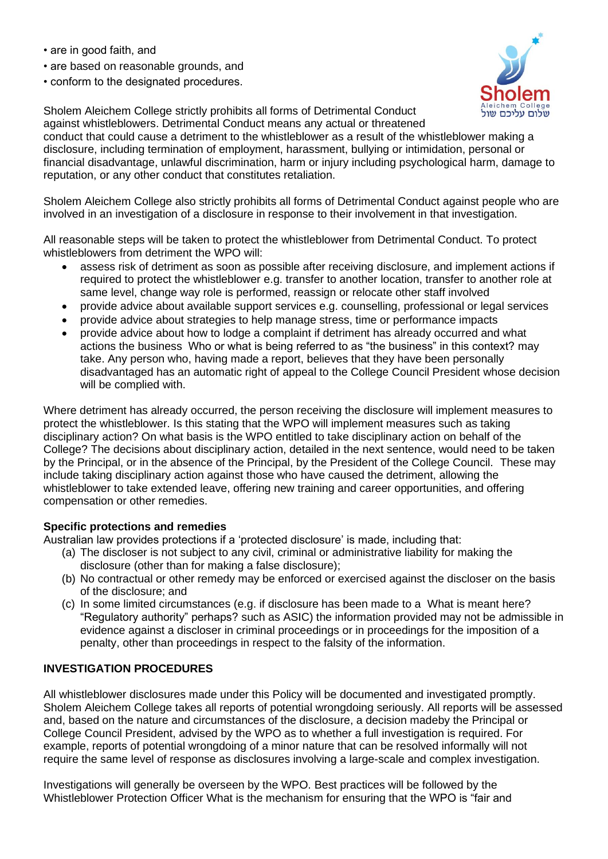- are in good faith, and
- are based on reasonable grounds, and
- conform to the designated procedures.



Sholem Aleichem College strictly prohibits all forms of Detrimental Conduct against whistleblowers. Detrimental Conduct means any actual or threatened conduct that could cause a detriment to the whistleblower as a result of the whistleblower making a disclosure, including termination of employment, harassment, bullying or intimidation, personal or financial disadvantage, unlawful discrimination, harm or injury including psychological harm, damage to reputation, or any other conduct that constitutes retaliation.

Sholem Aleichem College also strictly prohibits all forms of Detrimental Conduct against people who are involved in an investigation of a disclosure in response to their involvement in that investigation.

All reasonable steps will be taken to protect the whistleblower from Detrimental Conduct. To protect whistleblowers from detriment the WPO will:

- assess risk of detriment as soon as possible after receiving disclosure, and implement actions if required to protect the whistleblower e.g. transfer to another location, transfer to another role at same level, change way role is performed, reassign or relocate other staff involved
- provide advice about available support services e.g. counselling, professional or legal services
- provide advice about strategies to help manage stress, time or performance impacts
- provide advice about how to lodge a complaint if detriment has already occurred and what actions the business Who or what is being referred to as "the business" in this context? may take. Any person who, having made a report, believes that they have been personally disadvantaged has an automatic right of appeal to the College Council President whose decision will be complied with.

Where detriment has already occurred, the person receiving the disclosure will implement measures to protect the whistleblower. Is this stating that the WPO will implement measures such as taking disciplinary action? On what basis is the WPO entitled to take disciplinary action on behalf of the College? The decisions about disciplinary action, detailed in the next sentence, would need to be taken by the Principal, or in the absence of the Principal, by the President of the College Council. These may include taking disciplinary action against those who have caused the detriment, allowing the whistleblower to take extended leave, offering new training and career opportunities, and offering compensation or other remedies.

#### **Specific protections and remedies**

Australian law provides protections if a 'protected disclosure' is made, including that:

- (a) The discloser is not subject to any civil, criminal or administrative liability for making the disclosure (other than for making a false disclosure);
- (b) No contractual or other remedy may be enforced or exercised against the discloser on the basis of the disclosure; and
- (c) In some limited circumstances (e.g. if disclosure has been made to a What is meant here? "Regulatory authority" perhaps? such as ASIC) the information provided may not be admissible in evidence against a discloser in criminal proceedings or in proceedings for the imposition of a penalty, other than proceedings in respect to the falsity of the information.

#### **INVESTIGATION PROCEDURES**

All whistleblower disclosures made under this Policy will be documented and investigated promptly. Sholem Aleichem College takes all reports of potential wrongdoing seriously. All reports will be assessed and, based on the nature and circumstances of the disclosure, a decision madeby the Principal or College Council President, advised by the WPO as to whether a full investigation is required. For example, reports of potential wrongdoing of a minor nature that can be resolved informally will not require the same level of response as disclosures involving a large-scale and complex investigation.

Investigations will generally be overseen by the WPO. Best practices will be followed by the Whistleblower Protection Officer What is the mechanism for ensuring that the WPO is "fair and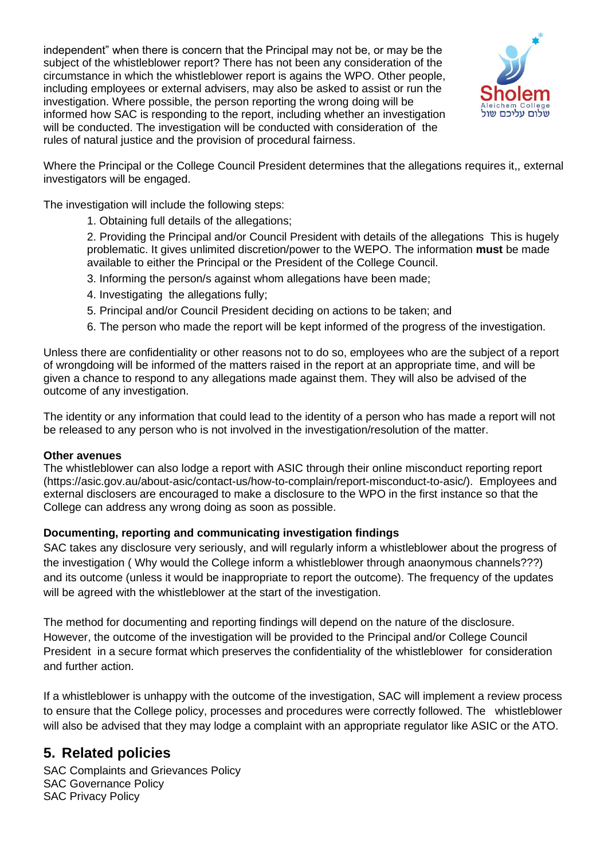independent" when there is concern that the Principal may not be, or may be the subject of the whistleblower report? There has not been any consideration of the circumstance in which the whistleblower report is agains the WPO. Other people, including employees or external advisers, may also be asked to assist or run the investigation. Where possible, the person reporting the wrong doing will be informed how SAC is responding to the report, including whether an investigation will be conducted. The investigation will be conducted with consideration of the rules of natural justice and the provision of procedural fairness.



Where the Principal or the College Council President determines that the allegations requires it,, external investigators will be engaged.

The investigation will include the following steps:

1. Obtaining full details of the allegations;

2. Providing the Principal and/or Council President with details of the allegations This is hugely problematic. It gives unlimited discretion/power to the WEPO. The information **must** be made available to either the Principal or the President of the College Council.

- 3. Informing the person/s against whom allegations have been made;
- 4. Investigating the allegations fully;
- 5. Principal and/or Council President deciding on actions to be taken; and
- 6. The person who made the report will be kept informed of the progress of the investigation.

Unless there are confidentiality or other reasons not to do so, employees who are the subject of a report of wrongdoing will be informed of the matters raised in the report at an appropriate time, and will be given a chance to respond to any allegations made against them. They will also be advised of the outcome of any investigation.

The identity or any information that could lead to the identity of a person who has made a report will not be released to any person who is not involved in the investigation/resolution of the matter.

#### **Other avenues**

The whistleblower can also lodge a report with ASIC through their online misconduct reporting report (https://asic.gov.au/about-asic/contact-us/how-to-complain/report-misconduct-to-asic/). Employees and external disclosers are encouraged to make a disclosure to the WPO in the first instance so that the College can address any wrong doing as soon as possible.

#### **Documenting, reporting and communicating investigation findings**

SAC takes any disclosure very seriously, and will regularly inform a whistleblower about the progress of the investigation ( Why would the College inform a whistleblower through anaonymous channels???) and its outcome (unless it would be inappropriate to report the outcome). The frequency of the updates will be agreed with the whistleblower at the start of the investigation.

The method for documenting and reporting findings will depend on the nature of the disclosure. However, the outcome of the investigation will be provided to the Principal and/or College Council President in a secure format which preserves the confidentiality of the whistleblower for consideration and further action.

If a whistleblower is unhappy with the outcome of the investigation, SAC will implement a review process to ensure that the College policy, processes and procedures were correctly followed. The whistleblower will also be advised that they may lodge a complaint with an appropriate regulator like ASIC or the ATO.

# **5. Related policies**

SAC Complaints and Grievances Policy SAC Governance Policy SAC Privacy Policy